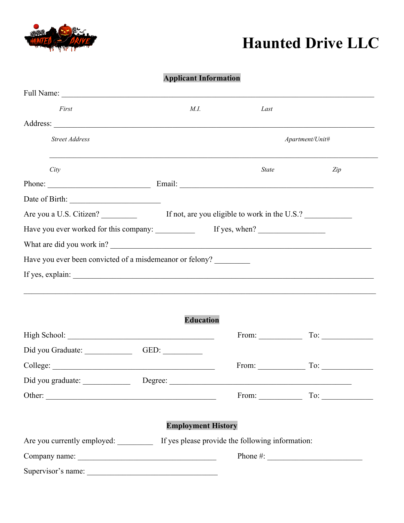

## **Haunted Drive LLC**

## **Applicant Information**

| First                                                    | M.I.                      | Last                                                                                                                                                                                                                                                                                                               |                                           |  |
|----------------------------------------------------------|---------------------------|--------------------------------------------------------------------------------------------------------------------------------------------------------------------------------------------------------------------------------------------------------------------------------------------------------------------|-------------------------------------------|--|
|                                                          |                           |                                                                                                                                                                                                                                                                                                                    |                                           |  |
| <b>Street Address</b>                                    |                           |                                                                                                                                                                                                                                                                                                                    | Apartment/Unit#                           |  |
| City                                                     |                           | <b>State</b>                                                                                                                                                                                                                                                                                                       | Zip                                       |  |
|                                                          |                           |                                                                                                                                                                                                                                                                                                                    |                                           |  |
|                                                          |                           |                                                                                                                                                                                                                                                                                                                    |                                           |  |
|                                                          |                           |                                                                                                                                                                                                                                                                                                                    |                                           |  |
|                                                          |                           |                                                                                                                                                                                                                                                                                                                    |                                           |  |
| What are did you work in?                                |                           |                                                                                                                                                                                                                                                                                                                    |                                           |  |
| Have you ever been convicted of a misdemeanor or felony? |                           |                                                                                                                                                                                                                                                                                                                    |                                           |  |
|                                                          |                           |                                                                                                                                                                                                                                                                                                                    |                                           |  |
|                                                          | <b>Education</b>          |                                                                                                                                                                                                                                                                                                                    | From: $\qquad \qquad \text{To:} \qquad$   |  |
| Did you Graduate: GED: GED:                              |                           |                                                                                                                                                                                                                                                                                                                    |                                           |  |
|                                                          |                           |                                                                                                                                                                                                                                                                                                                    | From: $\qquad \qquad$ To: $\qquad \qquad$ |  |
| Did you graduate: ______________                         |                           |                                                                                                                                                                                                                                                                                                                    |                                           |  |
|                                                          |                           |                                                                                                                                                                                                                                                                                                                    | From: $\qquad \qquad \text{To:}$          |  |
|                                                          | <b>Employment History</b> |                                                                                                                                                                                                                                                                                                                    |                                           |  |
| Are you currently employed:                              |                           | If yes please provide the following information:                                                                                                                                                                                                                                                                   |                                           |  |
|                                                          |                           | Phone #: $\frac{1}{2}$ $\frac{1}{2}$ $\frac{1}{2}$ $\frac{1}{2}$ $\frac{1}{2}$ $\frac{1}{2}$ $\frac{1}{2}$ $\frac{1}{2}$ $\frac{1}{2}$ $\frac{1}{2}$ $\frac{1}{2}$ $\frac{1}{2}$ $\frac{1}{2}$ $\frac{1}{2}$ $\frac{1}{2}$ $\frac{1}{2}$ $\frac{1}{2}$ $\frac{1}{2}$ $\frac{1}{2}$ $\frac{1}{2}$ $\frac{1}{2}$ $\$ |                                           |  |
| Supervisor's name:                                       |                           |                                                                                                                                                                                                                                                                                                                    |                                           |  |